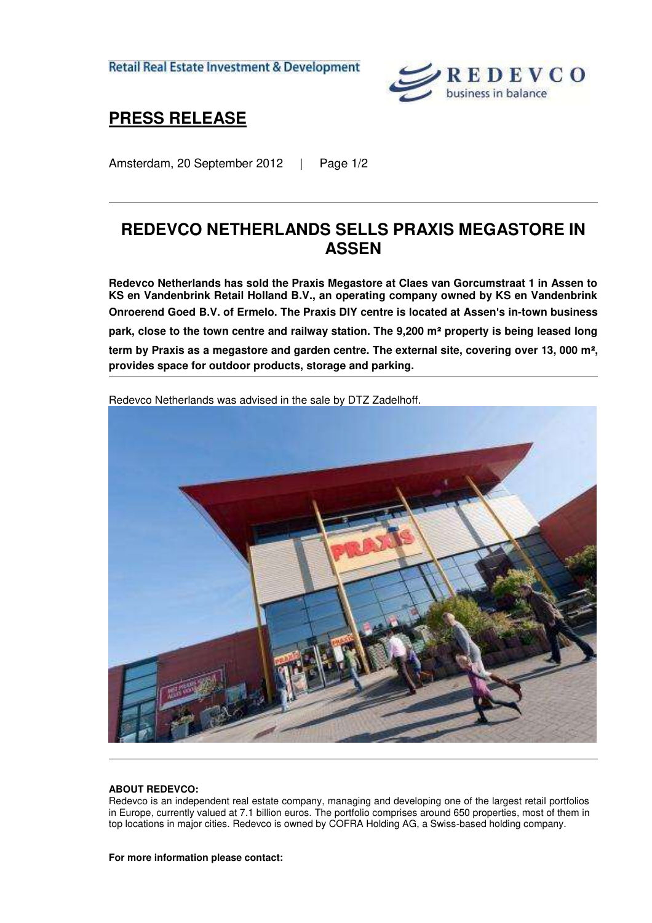**Retail Real Estate Investment & Development** 



## **PRESS RELEASE**

Amsterdam, 20 September 2012 | Page 1/2

## **REDEVCO NETHERLANDS SELLS PRAXIS MEGASTORE IN ASSEN**

**Redevco Netherlands has sold the Praxis Megastore at Claes van Gorcumstraat 1 in Assen to KS en Vandenbrink Retail Holland B.V., an operating company owned by KS en Vandenbrink Onroerend Goed B.V. of Ermelo. The Praxis DIY centre is located at Assen**'**s in-town business park, close to the town centre and railway station. The 9,200 m**² **property is being leased long term by Praxis as a megastore and garden centre. The external site, covering over 13, 000 m**²**, provides space for outdoor products, storage and parking.** 



Redevco Netherlands was advised in the sale by DTZ Zadelhoff.

## **ABOUT REDEVCO:**

Redevco is an independent real estate company, managing and developing one of the largest retail portfolios in Europe, currently valued at 7.1 billion euros. The portfolio comprises around 650 properties, most of them in top locations in major cities. Redevco is owned by COFRA Holding AG, a Swiss-based holding company.

**For more information please contact:**